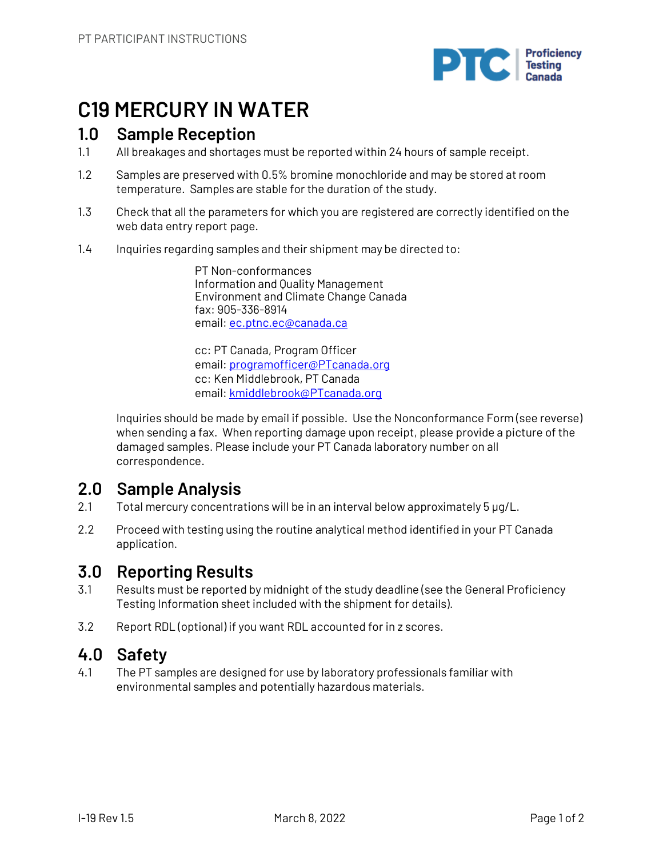

## **C19 MERCURY IN WATER**

## **1.0 Sample Reception**

- 1.1 All breakages and shortages must be reported within 24 hours of sample receipt.
- 1.2 Samples are preserved with 0.5% bromine monochloride and may be stored at room temperature. Samples are stable for the duration of the study.
- 1.3 Check that all the parameters for which you are registered are correctly identified on the web data entry report page.
- 1.4 Inquiries regarding samples and their shipment may be directed to:

PT Non-conformances Information and Quality Management Environment and Climate Change Canada fax: 905-336-8914 email: ec.ptnc.ec@canada.ca

cc: PT Canada, Program Officer email: programofficer@PTcanada.org cc: Ken Middlebrook, PT Canada email: kmiddlebrook@PTcanada.org

Inquiries should be made by email if possible. Use the Nonconformance Form (see reverse) when sending a fax. When reporting damage upon receipt, please provide a picture of the damaged samples. Please include your PT Canada laboratory number on all correspondence.

## **2.0 Sample Analysis**

- 2.1 Total mercury concentrations will be in an interval below approximately 5 µg/L.
- 2.2 Proceed with testing using the routine analytical method identified in your PT Canada application.

## **3.0 Reporting Results**

- 3.1 Results must be reported by midnight of the study deadline (see the General Proficiency Testing Information sheet included with the shipment for details).
- 3.2 Report RDL (optional) if you want RDL accounted for in z scores.

## **4.0 Safety**

4.1 The PT samples are designed for use by laboratory professionals familiar with environmental samples and potentially hazardous materials.